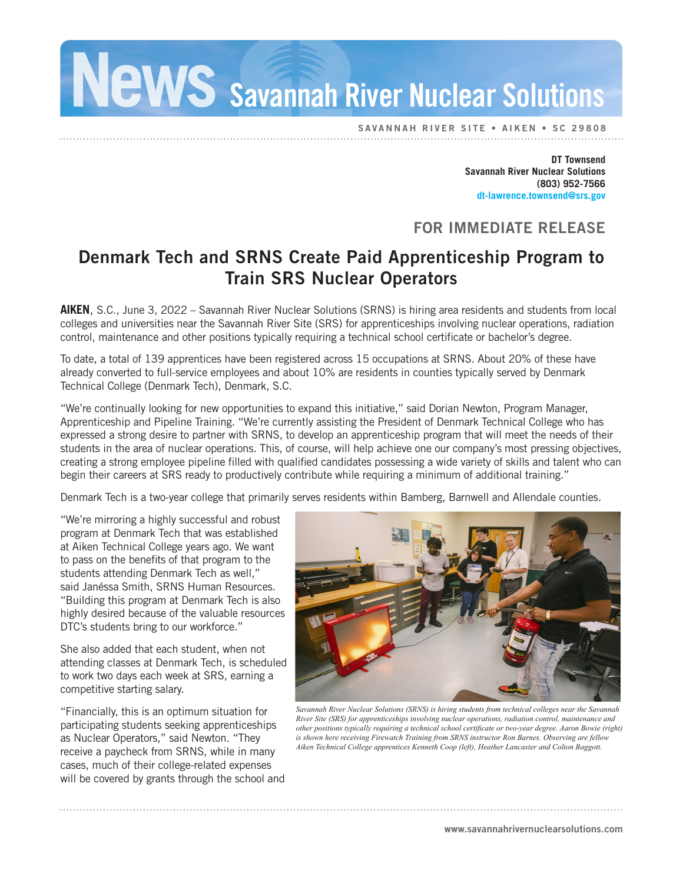Savannah River Nuclear Solutions

SAVANNAH RIVER SITE • AIKEN • SC 29808

**DT Townsend Savannah River Nuclear Solutions (803) 952-7566 dt-lawrence.townsend@srs.gov**

## FOR IMMEDIATE RELEASE

## Denmark Tech and SRNS Create Paid Apprenticeship Program to Train SRS Nuclear Operators

**AIKEN**, S.C., June 3, 2022 – Savannah River Nuclear Solutions (SRNS) is hiring area residents and students from local colleges and universities near the Savannah River Site (SRS) for apprenticeships involving nuclear operations, radiation control, maintenance and other positions typically requiring a technical school certificate or bachelor's degree.

To date, a total of 139 apprentices have been registered across 15 occupations at SRNS. About 20% of these have already converted to full-service employees and about 10% are residents in counties typically served by Denmark Technical College (Denmark Tech), Denmark, S.C.

"We're continually looking for new opportunities to expand this initiative," said Dorian Newton, Program Manager, Apprenticeship and Pipeline Training. "We're currently assisting the President of Denmark Technical College who has expressed a strong desire to partner with SRNS, to develop an apprenticeship program that will meet the needs of their students in the area of nuclear operations. This, of course, will help achieve one our company's most pressing objectives, creating a strong employee pipeline filled with qualified candidates possessing a wide variety of skills and talent who can begin their careers at SRS ready to productively contribute while requiring a minimum of additional training."

Denmark Tech is a two-year college that primarily serves residents within Bamberg, Barnwell and Allendale counties.

"We're mirroring a highly successful and robust program at Denmark Tech that was established at Aiken Technical College years ago. We want to pass on the benefits of that program to the students attending Denmark Tech as well," said Janéssa Smith, SRNS Human Resources. "Building this program at Denmark Tech is also highly desired because of the valuable resources DTC's students bring to our workforce."

She also added that each student, when not attending classes at Denmark Tech, is scheduled to work two days each week at SRS, earning a competitive starting salary.

"Financially, this is an optimum situation for participating students seeking apprenticeships as Nuclear Operators," said Newton. "They receive a paycheck from SRNS, while in many cases, much of their college-related expenses will be covered by grants through the school and



*Savannah River Nuclear Solutions (SRNS) is hiring students from technical colleges near the Savannah River Site (SRS) for apprenticeships involving nuclear operations, radiation control, maintenance and other positions typically requiring a technical school certificate or two-year degree. Aaron Bowie (right) is shown here receiving Firewatch Training from SRNS instructor Ron Barnes. Observing are fellow Aiken Technical College apprentices Kenneth Coop (left), Heather Lancaster and Colton Baggott.*